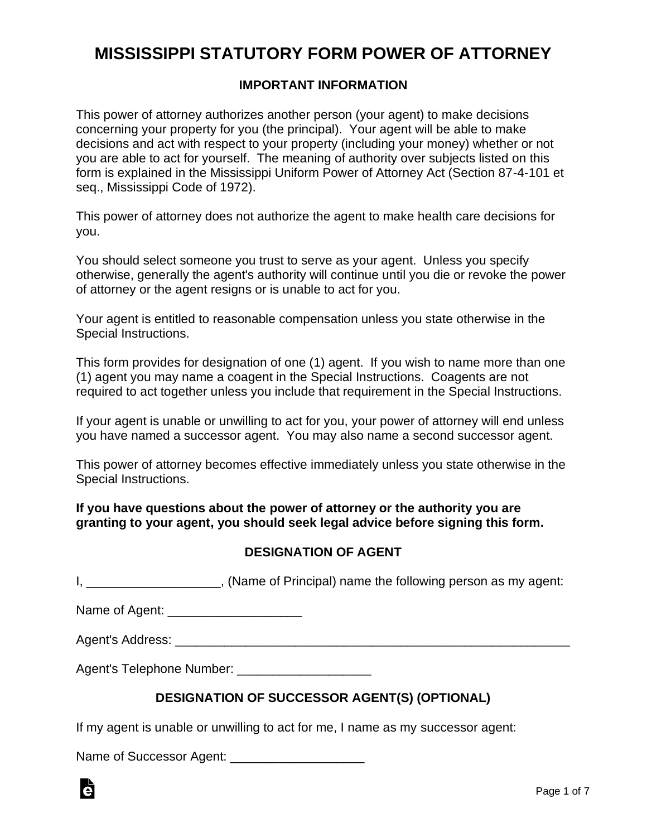# **MISSISSIPPI STATUTORY FORM POWER OF ATTORNEY**

### **IMPORTANT INFORMATION**

This power of attorney authorizes another person (your agent) to make decisions concerning your property for you (the principal). Your agent will be able to make decisions and act with respect to your property (including your money) whether or not you are able to act for yourself. The meaning of authority over subjects listed on this form is explained in the Mississippi Uniform Power of Attorney Act (Section 87-4-101 et seq., Mississippi Code of 1972).

This power of attorney does not authorize the agent to make health care decisions for you.

You should select someone you trust to serve as your agent. Unless you specify otherwise, generally the agent's authority will continue until you die or revoke the power of attorney or the agent resigns or is unable to act for you.

Your agent is entitled to reasonable compensation unless you state otherwise in the Special Instructions.

This form provides for designation of one (1) agent. If you wish to name more than one (1) agent you may name a coagent in the Special Instructions. Coagents are not required to act together unless you include that requirement in the Special Instructions.

If your agent is unable or unwilling to act for you, your power of attorney will end unless you have named a successor agent. You may also name a second successor agent.

This power of attorney becomes effective immediately unless you state otherwise in the Special Instructions.

**If you have questions about the power of attorney or the authority you are granting to your agent, you should seek legal advice before signing this form.**

### **DESIGNATION OF AGENT**

I, L. Essaystem and the interval of Principal) name the following person as my agent:

Name of Agent: \_\_\_\_\_\_\_\_\_\_\_\_\_\_\_\_\_\_\_

Agent's Address: \_\_\_\_\_\_\_\_\_\_\_\_\_\_\_\_\_\_\_\_\_\_\_\_\_\_\_\_\_\_\_\_\_\_\_\_\_\_\_\_\_\_\_\_\_\_\_\_\_\_\_\_\_\_\_\_

Agent's Telephone Number: \_\_\_\_\_\_\_\_\_\_\_\_\_\_\_\_\_\_\_

### **DESIGNATION OF SUCCESSOR AGENT(S) (OPTIONAL)**

If my agent is unable or unwilling to act for me, I name as my successor agent:

Name of Successor Agent: \_\_\_\_\_\_\_\_\_\_\_\_\_\_\_\_\_\_\_

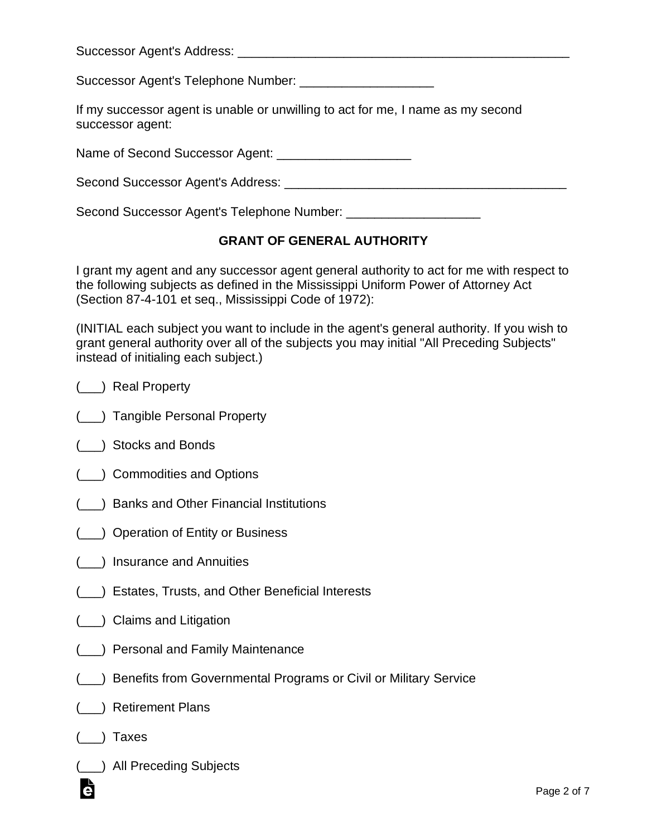| Successor Agent's Address: |  |  |
|----------------------------|--|--|
|                            |  |  |
|                            |  |  |

Successor Agent's Telephone Number: \_\_\_\_\_\_\_\_\_\_\_\_\_\_\_\_\_\_\_

| If my successor agent is unable or unwilling to act for me, I name as my second |  |  |  |
|---------------------------------------------------------------------------------|--|--|--|
| successor agent:                                                                |  |  |  |

Name of Second Successor Agent:  $\blacksquare$ 

| Second Successor Agent's Address: |  |
|-----------------------------------|--|
|                                   |  |

Second Successor Agent's Telephone Number: \_\_\_\_\_\_\_\_\_\_\_\_\_\_\_\_\_\_\_

# **GRANT OF GENERAL AUTHORITY**

I grant my agent and any successor agent general authority to act for me with respect to the following subjects as defined in the Mississippi Uniform Power of Attorney Act (Section 87-4-101 et seq., Mississippi Code of 1972):

(INITIAL each subject you want to include in the agent's general authority. If you wish to grant general authority over all of the subjects you may initial "All Preceding Subjects" instead of initialing each subject.)

- (\_\_\_) Real Property
- (\_\_\_) Tangible Personal Property
- (\_\_\_) Stocks and Bonds
- (\_\_\_) Commodities and Options
- (\_\_\_) Banks and Other Financial Institutions
- (\_\_\_) Operation of Entity or Business
- (\_\_\_) Insurance and Annuities
- (\_\_\_) Estates, Trusts, and Other Beneficial Interests
- (\_\_\_) Claims and Litigation
- (\_\_\_) Personal and Family Maintenance
- (\_\_\_) Benefits from Governmental Programs or Civil or Military Service
- (\_\_\_) Retirement Plans
- (\_\_\_) Taxes
- (\_\_\_) All Preceding Subjects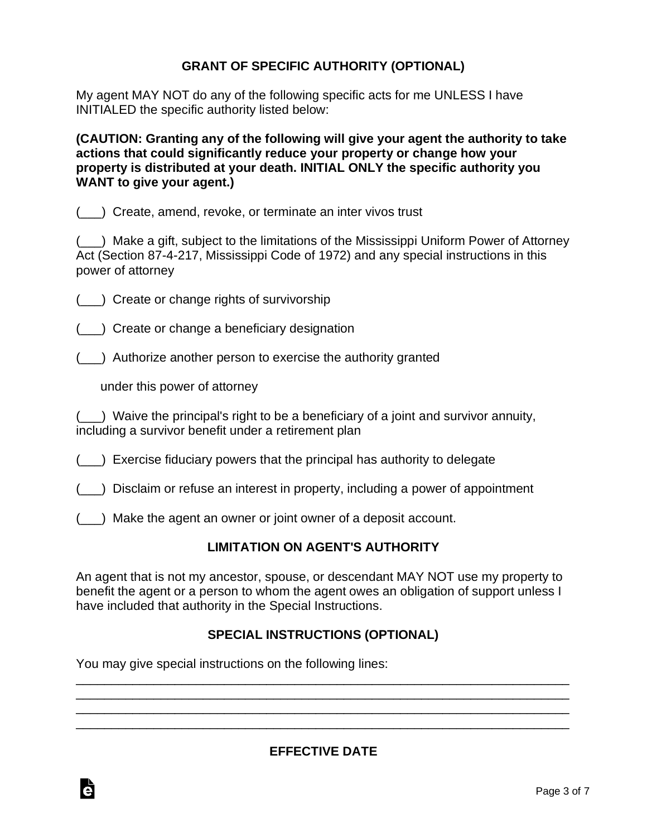# **GRANT OF SPECIFIC AUTHORITY (OPTIONAL)**

My agent MAY NOT do any of the following specific acts for me UNLESS I have INITIALED the specific authority listed below:

**(CAUTION: Granting any of the following will give your agent the authority to take actions that could significantly reduce your property or change how your property is distributed at your death. INITIAL ONLY the specific authority you WANT to give your agent.)**

(\_\_\_) Create, amend, revoke, or terminate an inter vivos trust

(\_\_\_) Make a gift, subject to the limitations of the Mississippi Uniform Power of Attorney Act (Section 87-4-217, Mississippi Code of 1972) and any special instructions in this power of attorney

(\_\_\_) Create or change rights of survivorship

(\_\_\_) Create or change a beneficiary designation

(\_\_\_) Authorize another person to exercise the authority granted

under this power of attorney

(\_\_\_) Waive the principal's right to be a beneficiary of a joint and survivor annuity, including a survivor benefit under a retirement plan

(\_\_\_) Exercise fiduciary powers that the principal has authority to delegate

(\_\_\_) Disclaim or refuse an interest in property, including a power of appointment

(\_\_\_) Make the agent an owner or joint owner of a deposit account.

# **LIMITATION ON AGENT'S AUTHORITY**

An agent that is not my ancestor, spouse, or descendant MAY NOT use my property to benefit the agent or a person to whom the agent owes an obligation of support unless I have included that authority in the Special Instructions.

# **SPECIAL INSTRUCTIONS (OPTIONAL)**

\_\_\_\_\_\_\_\_\_\_\_\_\_\_\_\_\_\_\_\_\_\_\_\_\_\_\_\_\_\_\_\_\_\_\_\_\_\_\_\_\_\_\_\_\_\_\_\_\_\_\_\_\_\_\_\_\_\_\_\_\_\_\_\_\_\_\_\_\_\_ \_\_\_\_\_\_\_\_\_\_\_\_\_\_\_\_\_\_\_\_\_\_\_\_\_\_\_\_\_\_\_\_\_\_\_\_\_\_\_\_\_\_\_\_\_\_\_\_\_\_\_\_\_\_\_\_\_\_\_\_\_\_\_\_\_\_\_\_\_\_ \_\_\_\_\_\_\_\_\_\_\_\_\_\_\_\_\_\_\_\_\_\_\_\_\_\_\_\_\_\_\_\_\_\_\_\_\_\_\_\_\_\_\_\_\_\_\_\_\_\_\_\_\_\_\_\_\_\_\_\_\_\_\_\_\_\_\_\_\_\_ \_\_\_\_\_\_\_\_\_\_\_\_\_\_\_\_\_\_\_\_\_\_\_\_\_\_\_\_\_\_\_\_\_\_\_\_\_\_\_\_\_\_\_\_\_\_\_\_\_\_\_\_\_\_\_\_\_\_\_\_\_\_\_\_\_\_\_\_\_\_

You may give special instructions on the following lines:

Ġ

**EFFECTIVE DATE**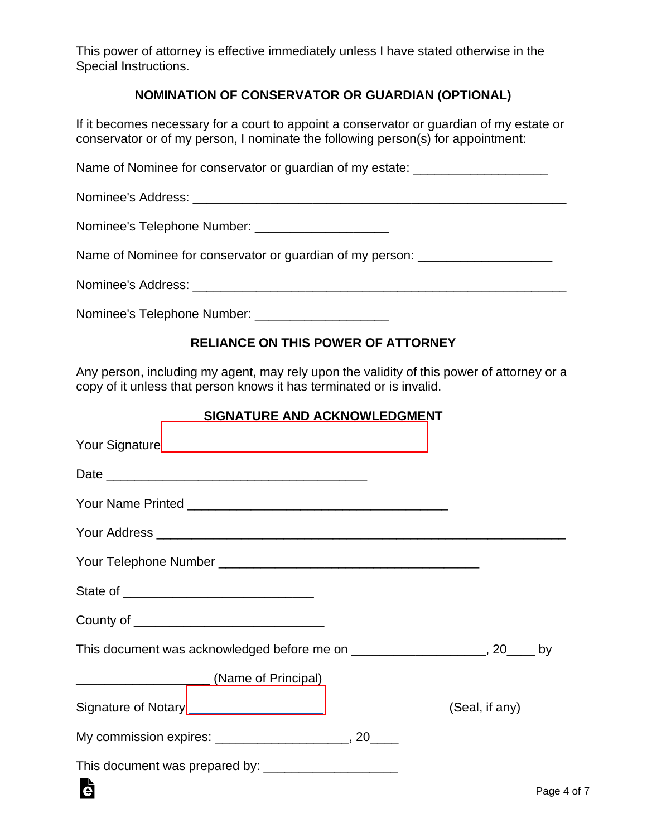This power of attorney is effective immediately unless I have stated otherwise in the Special Instructions.

# **NOMINATION OF CONSERVATOR OR GUARDIAN (OPTIONAL)**

If it becomes necessary for a court to appoint a conservator or guardian of my estate or conservator or of my person, I nominate the following person(s) for appointment:

Name of Nominee for conservator or guardian of my estate: \_\_\_\_\_\_\_\_\_\_\_\_\_\_\_\_\_\_\_\_\_\_

Nominee's Address: \_\_\_\_\_\_\_\_\_\_\_\_\_\_\_\_\_\_\_\_\_\_\_\_\_\_\_\_\_\_\_\_\_\_\_\_\_\_\_\_\_\_\_\_\_\_\_\_\_\_\_\_\_

Nominee's Telephone Number: \_\_\_\_\_\_\_\_\_\_\_\_\_\_\_\_\_\_\_

Name of Nominee for conservator or guardian of my person: \_\_\_\_\_\_\_\_\_\_\_\_\_\_\_\_\_\_\_\_\_\_

Nominee's Address: \_\_\_\_\_\_\_\_\_\_\_\_\_\_\_\_\_\_\_\_\_\_\_\_\_\_\_\_\_\_\_\_\_\_\_\_\_\_\_\_\_\_\_\_\_\_\_\_\_\_\_\_\_

Nominee's Telephone Number: \_\_\_\_\_\_\_\_\_\_\_\_\_\_\_\_\_\_\_

## **RELIANCE ON THIS POWER OF ATTORNEY**

Any person, including my agent, may rely upon the validity of this power of attorney or a copy of it unless that person knows it has terminated or is invalid.

#### **SIGNATURE AND ACKNOWLEDGMENT**

| County of _________________________________                                  |                |        |
|------------------------------------------------------------------------------|----------------|--------|
| This document was acknowledged before me on _____________________, 20____ by |                |        |
|                                                                              |                |        |
| Signature of Notary _________________________                                | (Seal, if any) |        |
|                                                                              |                |        |
|                                                                              |                |        |
| Ġ                                                                            |                | Page 4 |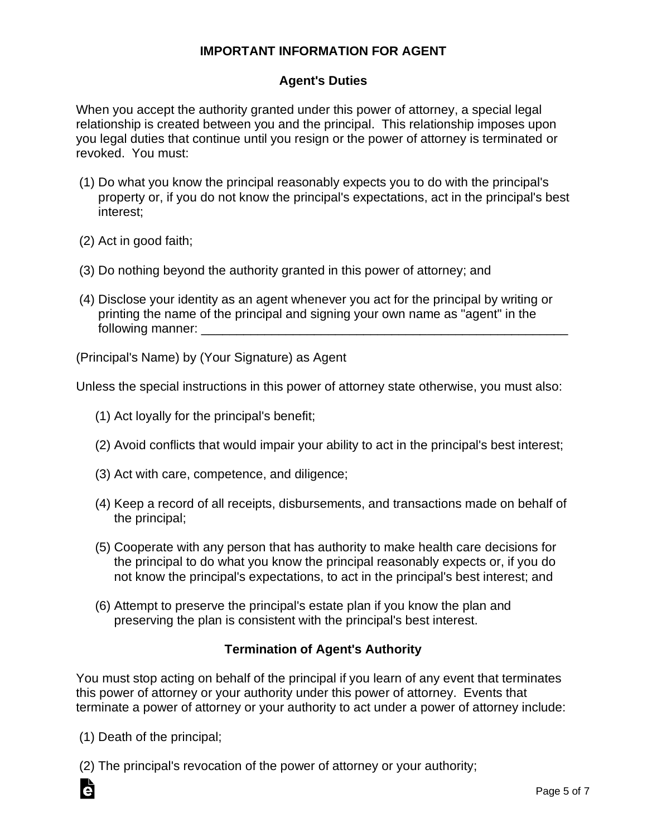## **IMPORTANT INFORMATION FOR AGENT**

## **Agent's Duties**

When you accept the authority granted under this power of attorney, a special legal relationship is created between you and the principal. This relationship imposes upon you legal duties that continue until you resign or the power of attorney is terminated or revoked. You must:

- (1) Do what you know the principal reasonably expects you to do with the principal's property or, if you do not know the principal's expectations, act in the principal's best interest;
- (2) Act in good faith;
- (3) Do nothing beyond the authority granted in this power of attorney; and
- (4) Disclose your identity as an agent whenever you act for the principal by writing or printing the name of the principal and signing your own name as "agent" in the following manner: \_\_\_\_\_\_\_\_\_\_\_\_\_\_\_\_\_\_\_\_\_\_\_\_\_\_\_\_\_\_\_\_\_\_\_\_\_\_\_\_\_\_\_\_\_\_\_\_\_\_\_\_

(Principal's Name) by (Your Signature) as Agent

Unless the special instructions in this power of attorney state otherwise, you must also:

- (1) Act loyally for the principal's benefit;
- (2) Avoid conflicts that would impair your ability to act in the principal's best interest;
- (3) Act with care, competence, and diligence;
- (4) Keep a record of all receipts, disbursements, and transactions made on behalf of the principal;
- (5) Cooperate with any person that has authority to make health care decisions for the principal to do what you know the principal reasonably expects or, if you do not know the principal's expectations, to act in the principal's best interest; and
- (6) Attempt to preserve the principal's estate plan if you know the plan and preserving the plan is consistent with the principal's best interest.

### **Termination of Agent's Authority**

You must stop acting on behalf of the principal if you learn of any event that terminates this power of attorney or your authority under this power of attorney. Events that terminate a power of attorney or your authority to act under a power of attorney include:

(1) Death of the principal;

Ġ

(2) The principal's revocation of the power of attorney or your authority;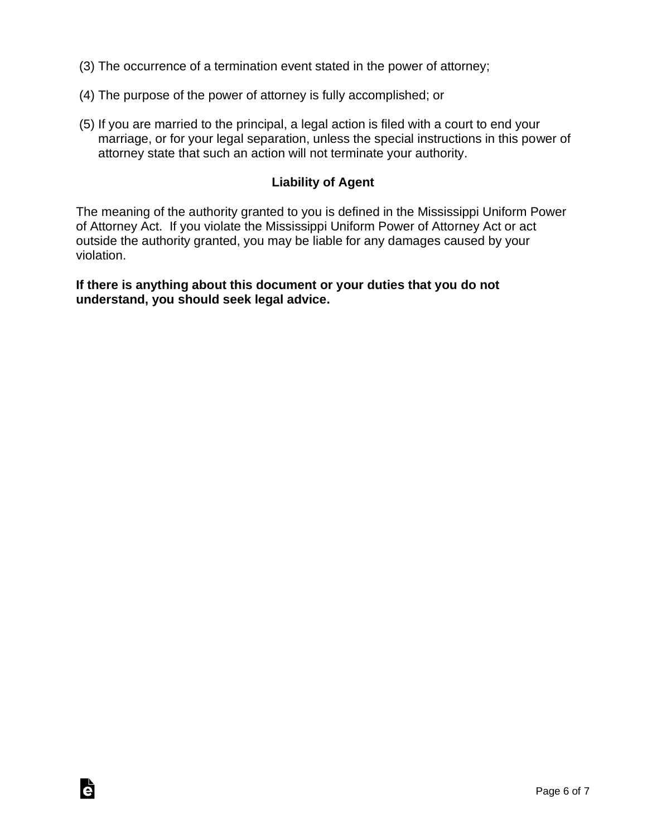- (3) The occurrence of a termination event stated in the power of attorney;
- (4) The purpose of the power of attorney is fully accomplished; or
- (5) If you are married to the principal, a legal action is filed with a court to end your marriage, or for your legal separation, unless the special instructions in this power of attorney state that such an action will not terminate your authority.

# **Liability of Agent**

The meaning of the authority granted to you is defined in the Mississippi Uniform Power of Attorney Act. If you violate the Mississippi Uniform Power of Attorney Act or act outside the authority granted, you may be liable for any damages caused by your violation.

**If there is anything about this document or your duties that you do not understand, you should seek legal advice.**